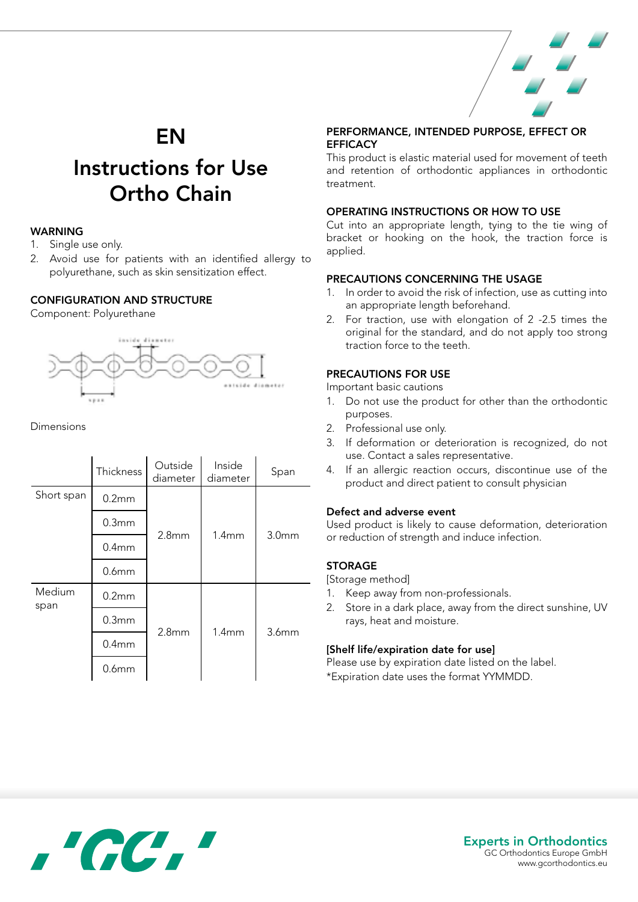

# EN

# Instructions for Use Ortho Chain

# WARNING

- 1. Single use only.
- 2. Avoid use for patients with an identified allergy to polyurethane, such as skin sensitization effect.

#### CONFIGURATION AND STRUCTURE

Component: Polyurethane



Dimensions

|                | Thickness         | Outside<br>diameter | Inside<br>diameter | Span              |
|----------------|-------------------|---------------------|--------------------|-------------------|
| Short span     | 0.2 <sub>mm</sub> | 2.8 <sub>mm</sub>   | 1.4mm              | 3.0 <sub>mm</sub> |
|                | 0.3mm             |                     |                    |                   |
|                | 0.4 <sub>mm</sub> |                     |                    |                   |
|                | 0.6 <sub>mm</sub> |                     |                    |                   |
| Medium<br>span | 0.2 <sub>mm</sub> | 2.8 <sub>mm</sub>   | 1.4mm              | 3.6 <sub>mm</sub> |
|                | 0.3 <sub>mm</sub> |                     |                    |                   |
|                | 0.4 <sub>mm</sub> |                     |                    |                   |
|                | 0.6 <sub>mm</sub> |                     |                    |                   |

# PERFORMANCE, INTENDED PURPOSE, EFFECT OR **EFFICACY**

This product is elastic material used for movement of teeth and retention of orthodontic appliances in orthodontic treatment.

#### OPERATING INSTRUCTIONS OR HOW TO USE

Cut into an appropriate length, tying to the tie wing of bracket or hooking on the hook, the traction force is applied.

#### PRECAUTIONS CONCERNING THE USAGE

- 1. In order to avoid the risk of infection, use as cutting into an appropriate length beforehand.
- 2. For traction, use with elongation of 2 -2.5 times the original for the standard, and do not apply too strong traction force to the teeth.

# PRECAUTIONS FOR USE

Important basic cautions

- 1. Do not use the product for other than the orthodontic purposes.
- 2. Professional use only.
- 3. If deformation or deterioration is recognized, do not use. Contact a sales representative.
- 4. If an allergic reaction occurs, discontinue use of the product and direct patient to consult physician

# Defect and adverse event

Used product is likely to cause deformation, deterioration or reduction of strength and induce infection.

#### STORAGE

[Storage method]

- 1. Keep away from non-professionals.
- 2. Store in a dark place, away from the direct sunshine, UV rays, heat and moisture.

#### [Shelf life/expiration date for use]

Please use by expiration date listed on the label. \*Expiration date uses the format YYMMDD.